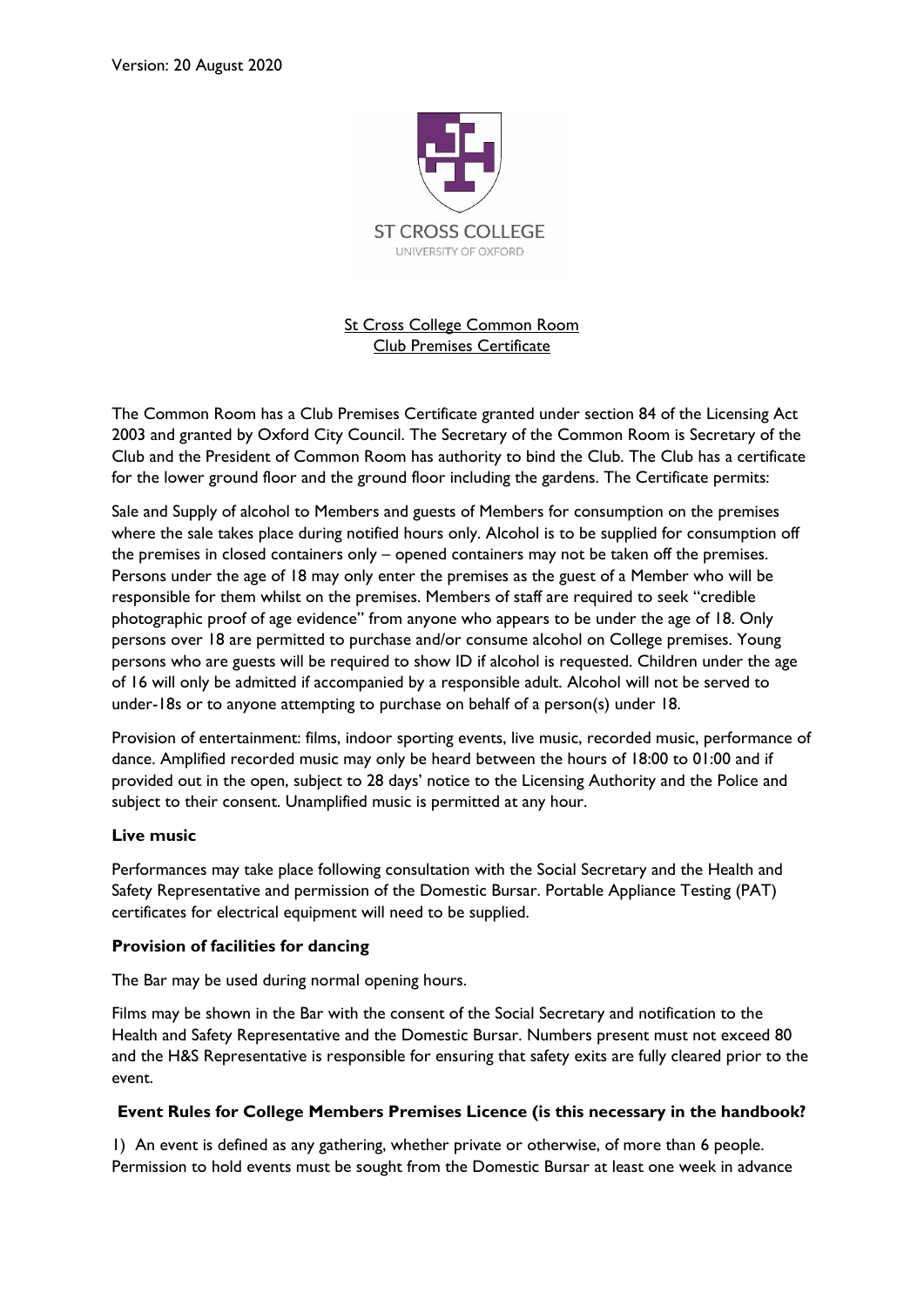

St Cross College Common Room Club Premises Certificate

The Common Room has a Club Premises Certificate granted under section 84 of the Licensing Act 2003 and granted by Oxford City Council. The Secretary of the Common Room is Secretary of the Club and the President of Common Room has authority to bind the Club. The Club has a certificate for the lower ground floor and the ground floor including the gardens. The Certificate permits:

Sale and Supply of alcohol to Members and guests of Members for consumption on the premises where the sale takes place during notified hours only. Alcohol is to be supplied for consumption off the premises in closed containers only – opened containers may not be taken off the premises. Persons under the age of 18 may only enter the premises as the guest of a Member who will be responsible for them whilst on the premises. Members of staff are required to seek "credible photographic proof of age evidence" from anyone who appears to be under the age of 18. Only persons over 18 are permitted to purchase and/or consume alcohol on College premises. Young persons who are guests will be required to show ID if alcohol is requested. Children under the age of 16 will only be admitted if accompanied by a responsible adult. Alcohol will not be served to under-18s or to anyone attempting to purchase on behalf of a person(s) under 18.

Provision of entertainment: films, indoor sporting events, live music, recorded music, performance of dance. Amplified recorded music may only be heard between the hours of 18:00 to 01:00 and if provided out in the open, subject to 28 days' notice to the Licensing Authority and the Police and subject to their consent. Unamplified music is permitted at any hour.

## **Live music**

Performances may take place following consultation with the Social Secretary and the Health and Safety Representative and permission of the Domestic Bursar. Portable Appliance Testing (PAT) certificates for electrical equipment will need to be supplied.

## **Provision of facilities for dancing**

The Bar may be used during normal opening hours.

Films may be shown in the Bar with the consent of the Social Secretary and notification to the Health and Safety Representative and the Domestic Bursar. Numbers present must not exceed 80 and the H&S Representative is responsible for ensuring that safety exits are fully cleared prior to the event.

## **Event Rules for College Members Premises Licence (is this necessary in the handbook?**

1) An event is defined as any gathering, whether private or otherwise, of more than 6 people. Permission to hold events must be sought from the Domestic Bursar at least one week in advance